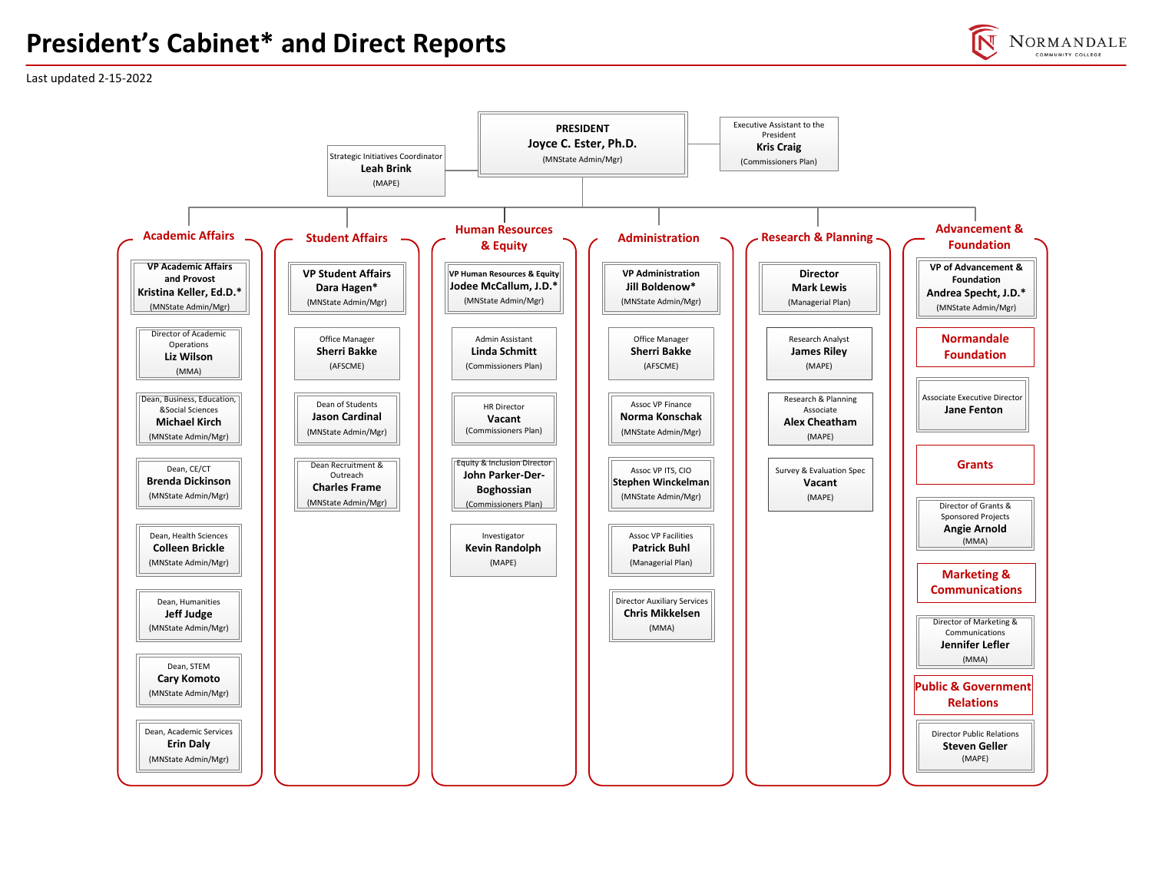# **President's Cabinet\* and Direct Reports**



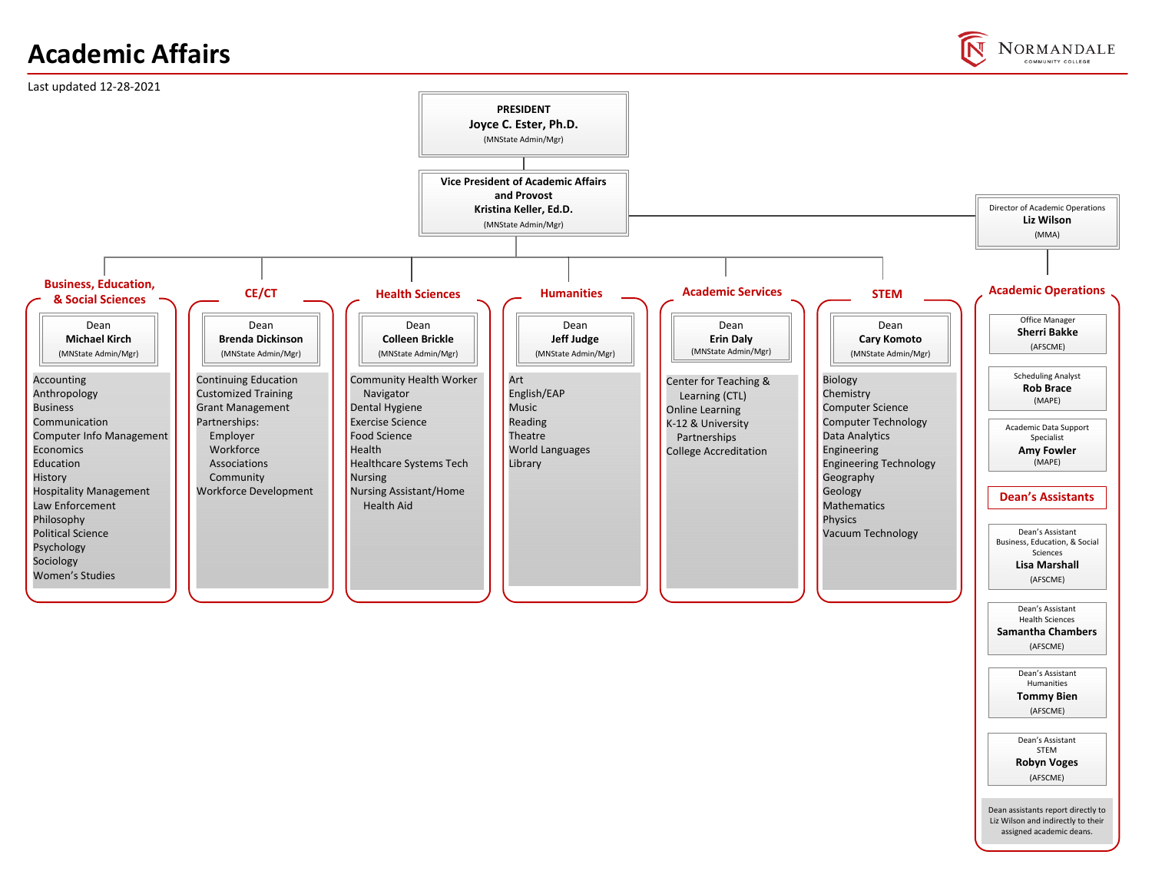# **Academic Affairs**



**NORMANDALE** COMMUNITY COLLEGE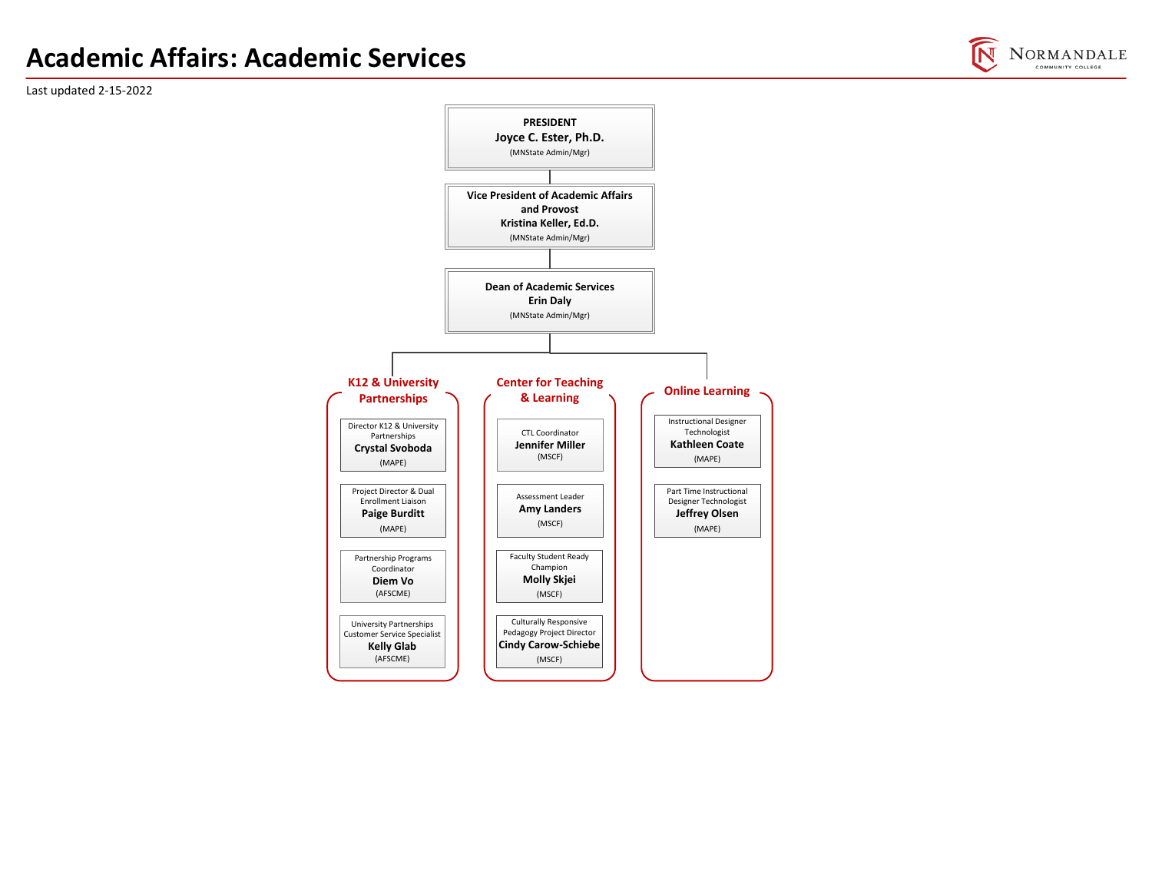# **Academic Affairs: Academic Services**



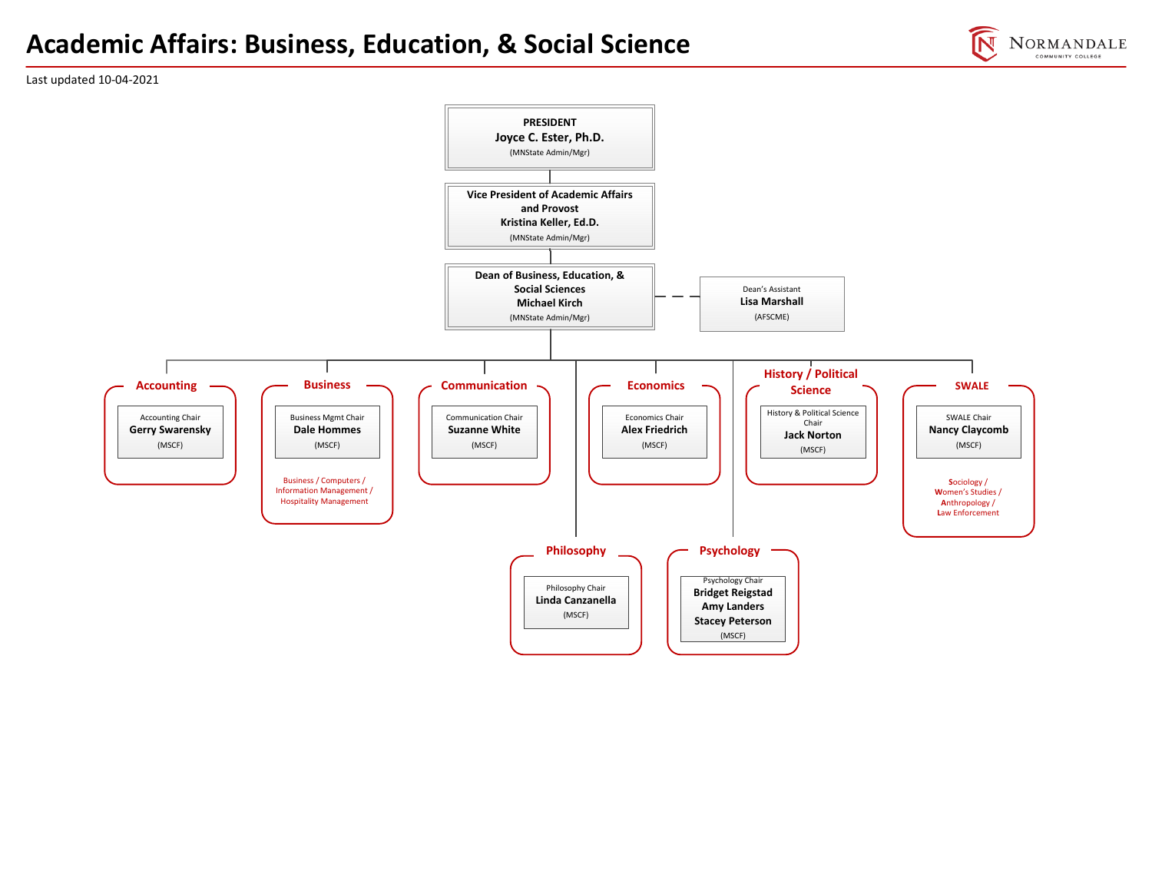### **Academic Affairs: Business, Education, & Social Science**



Last updated 10‐04‐2021

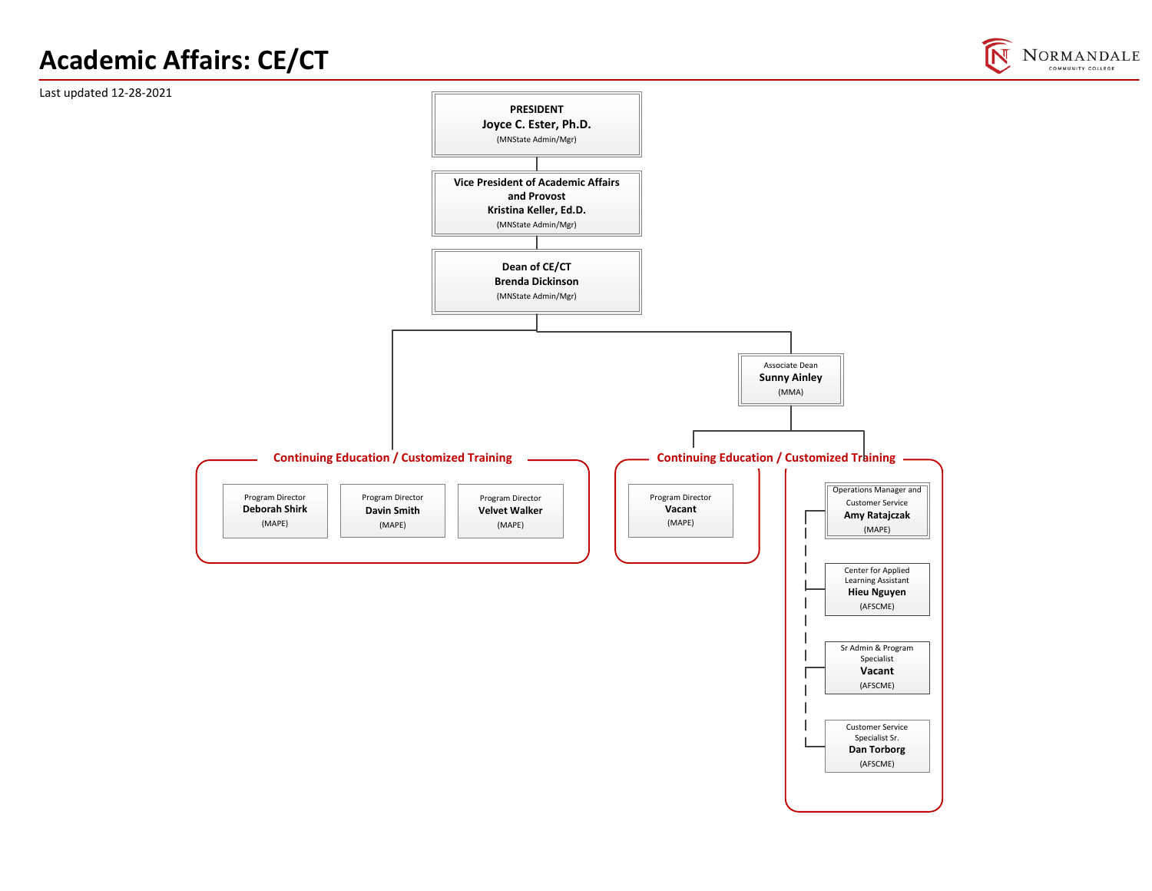# **Academic Affairs: CE/CT**



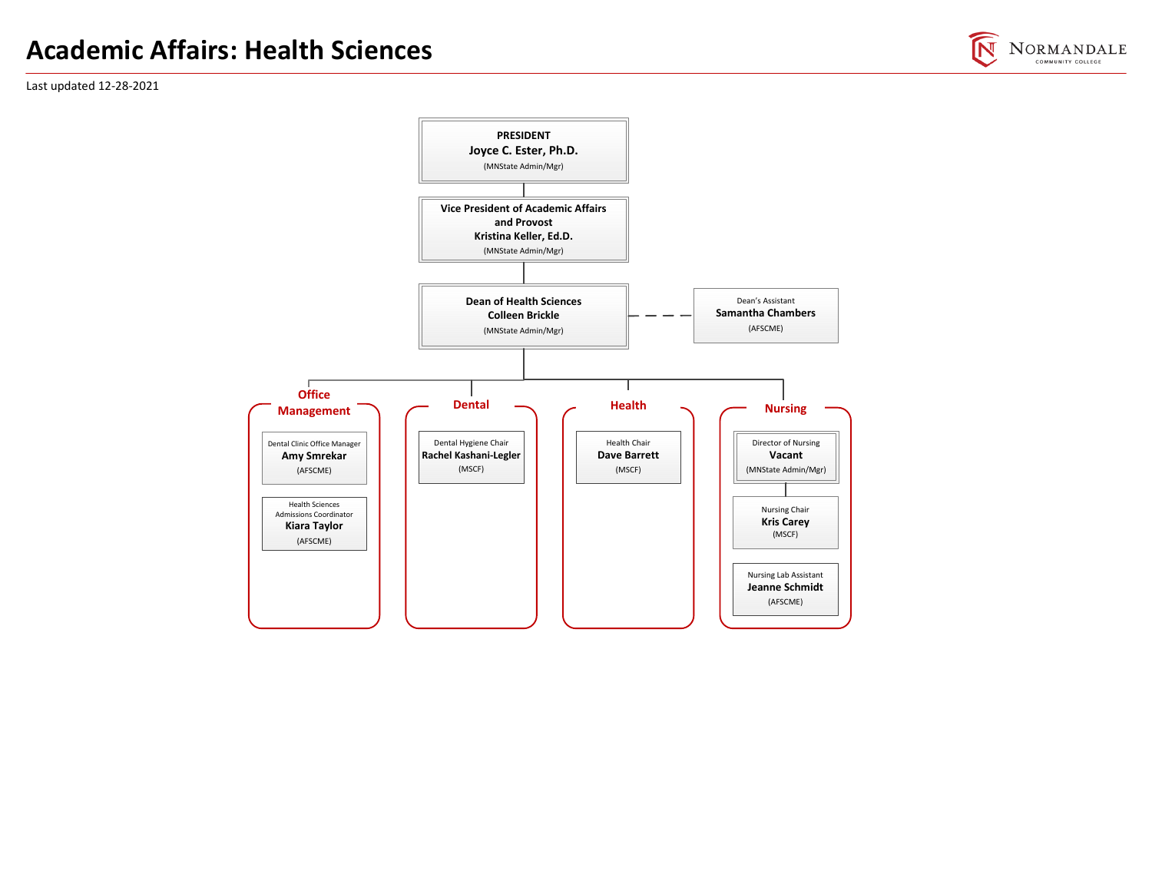# **Academic Affairs: Health Sciences**



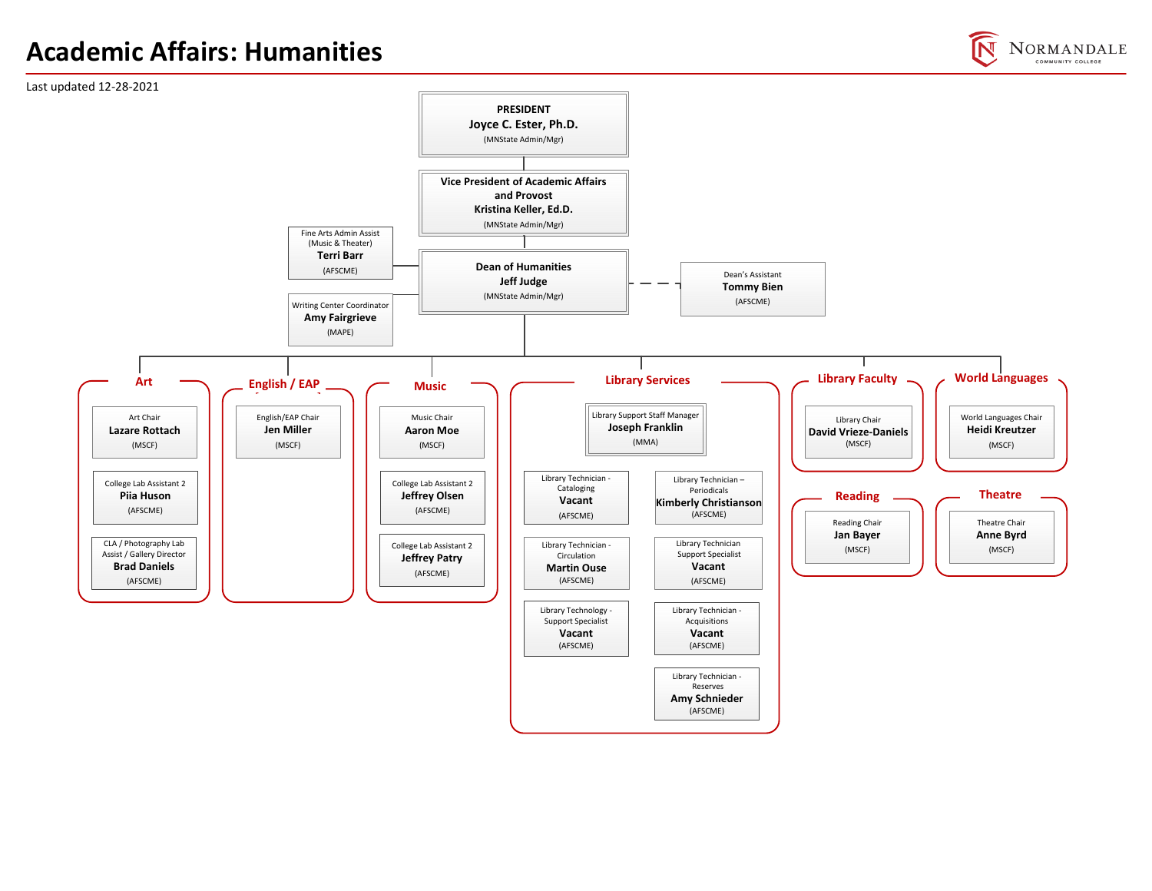# **Academic Affairs: Humanities**

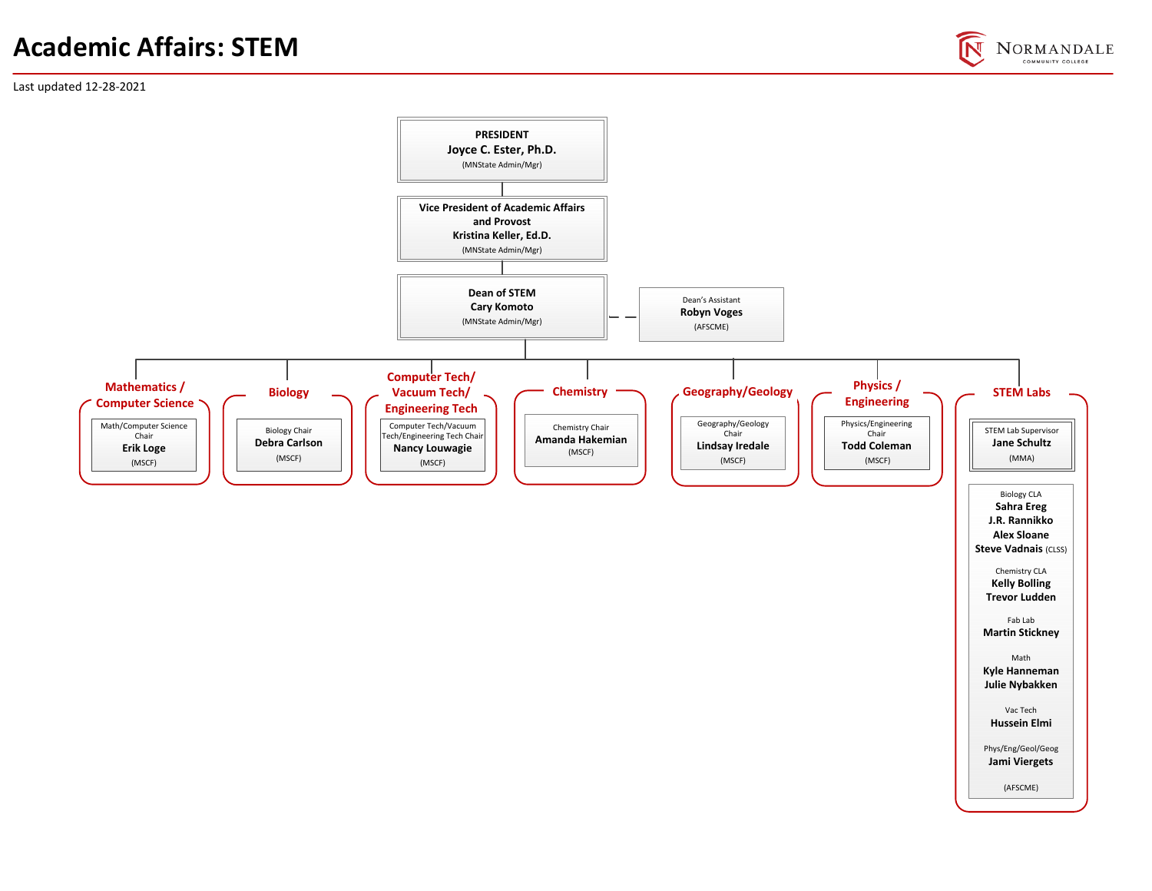# **Academic Affairs: STEM**

NORMANDALE COMMUNITY COLLEGE

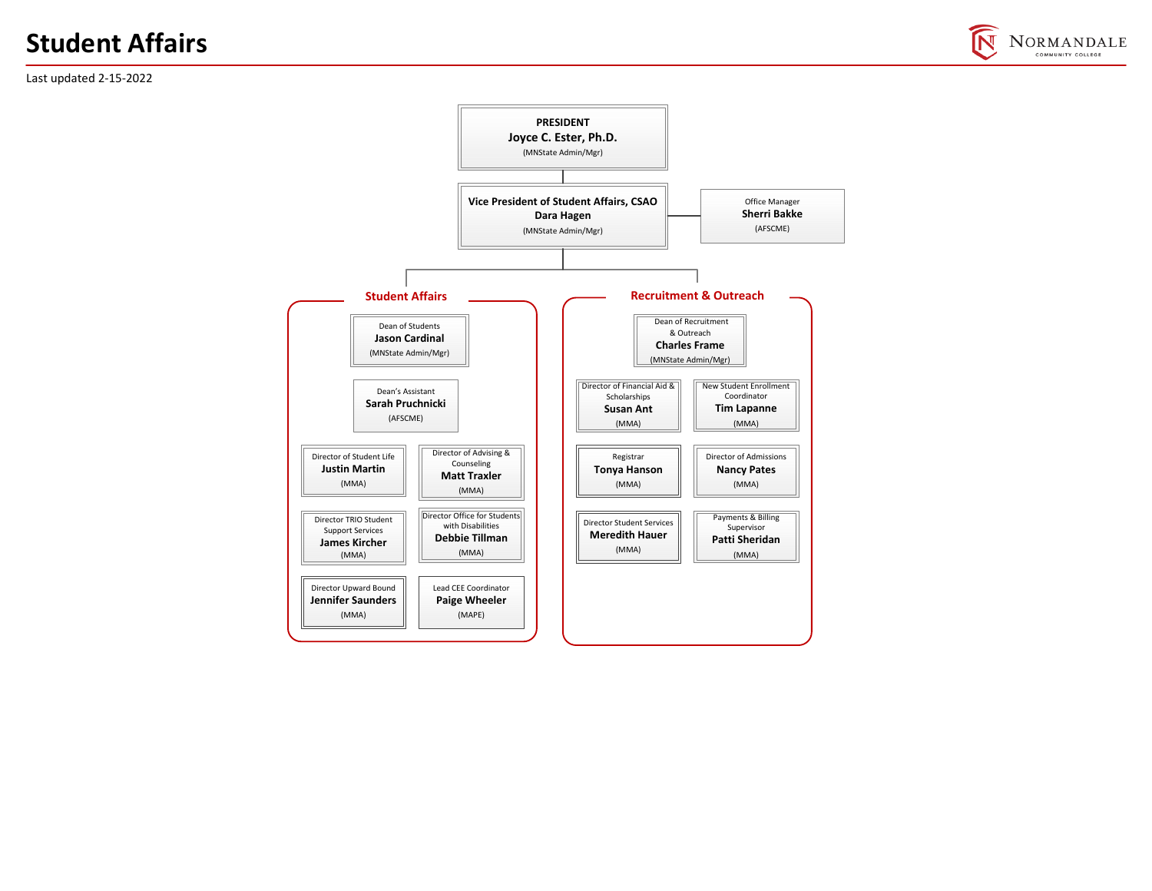# **Student Affairs**



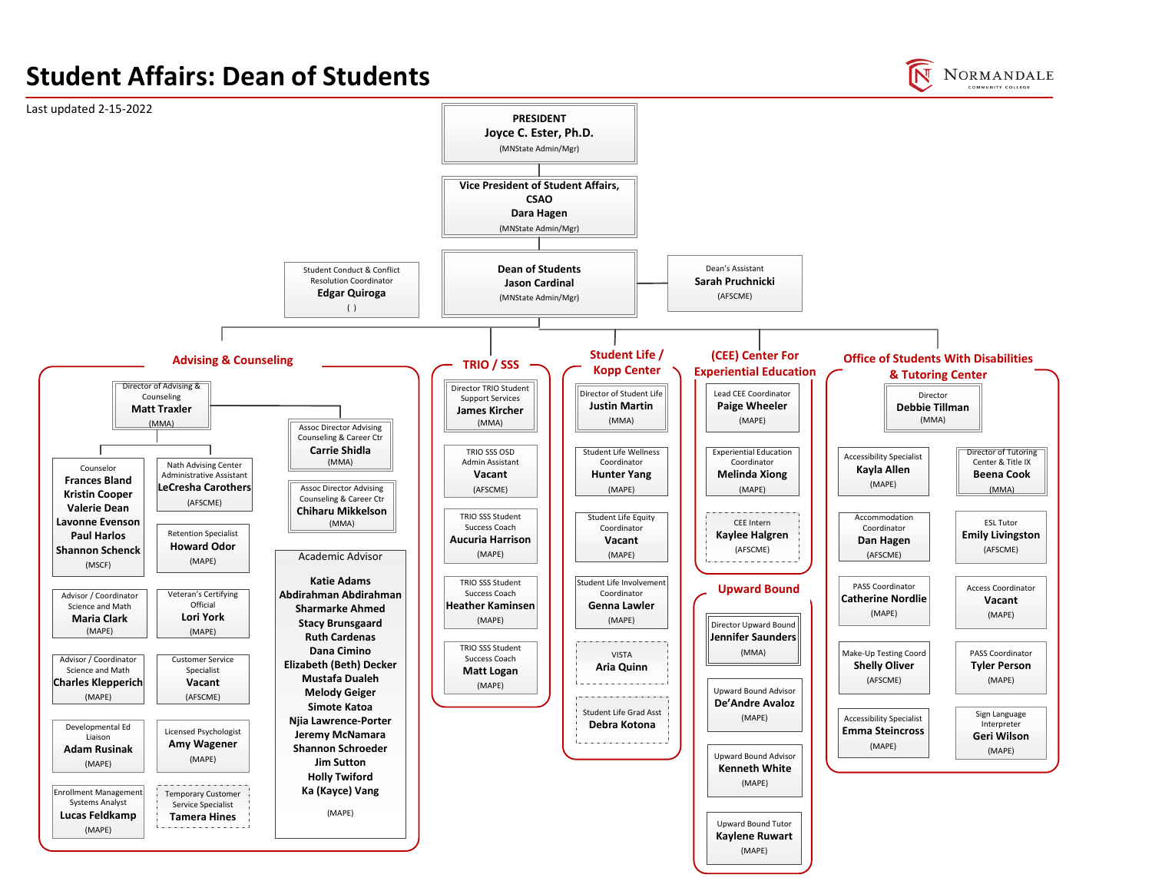# **Student Affairs: Dean of Students**



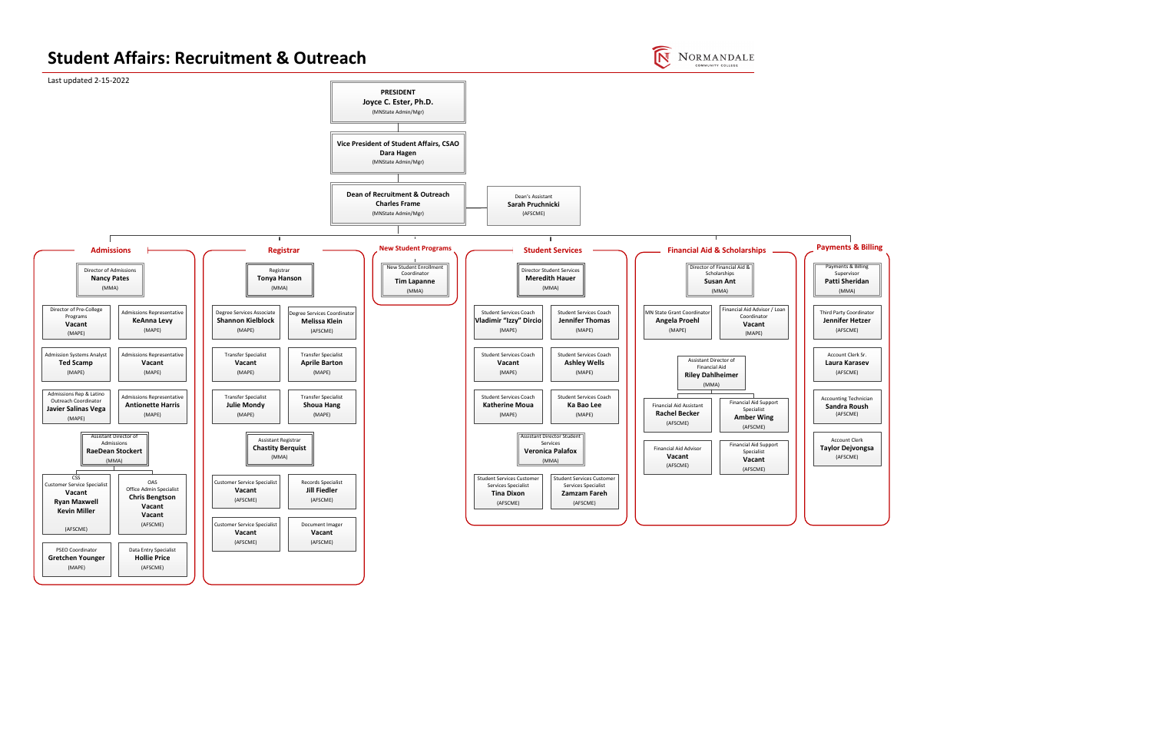#### **Student Affairs: Recruitment & Outreach**



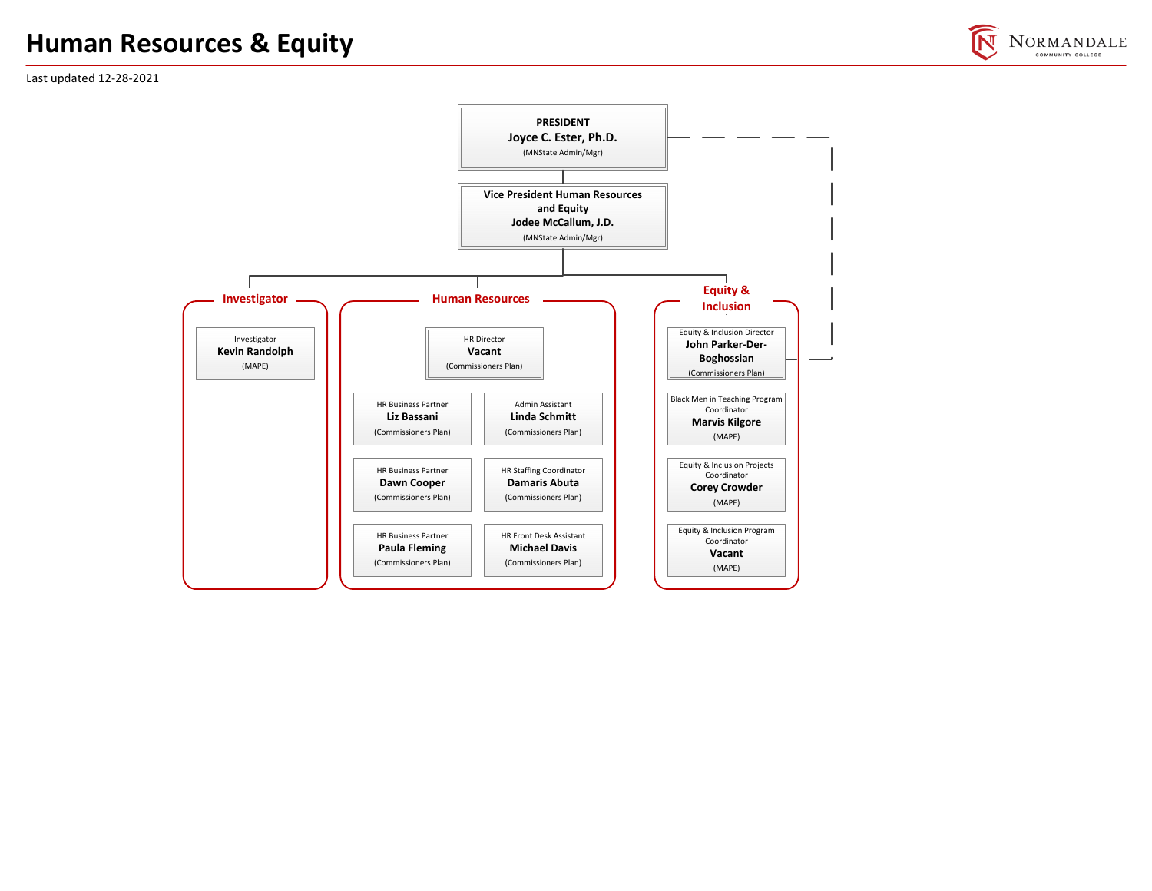# **Human Resources & Equity**



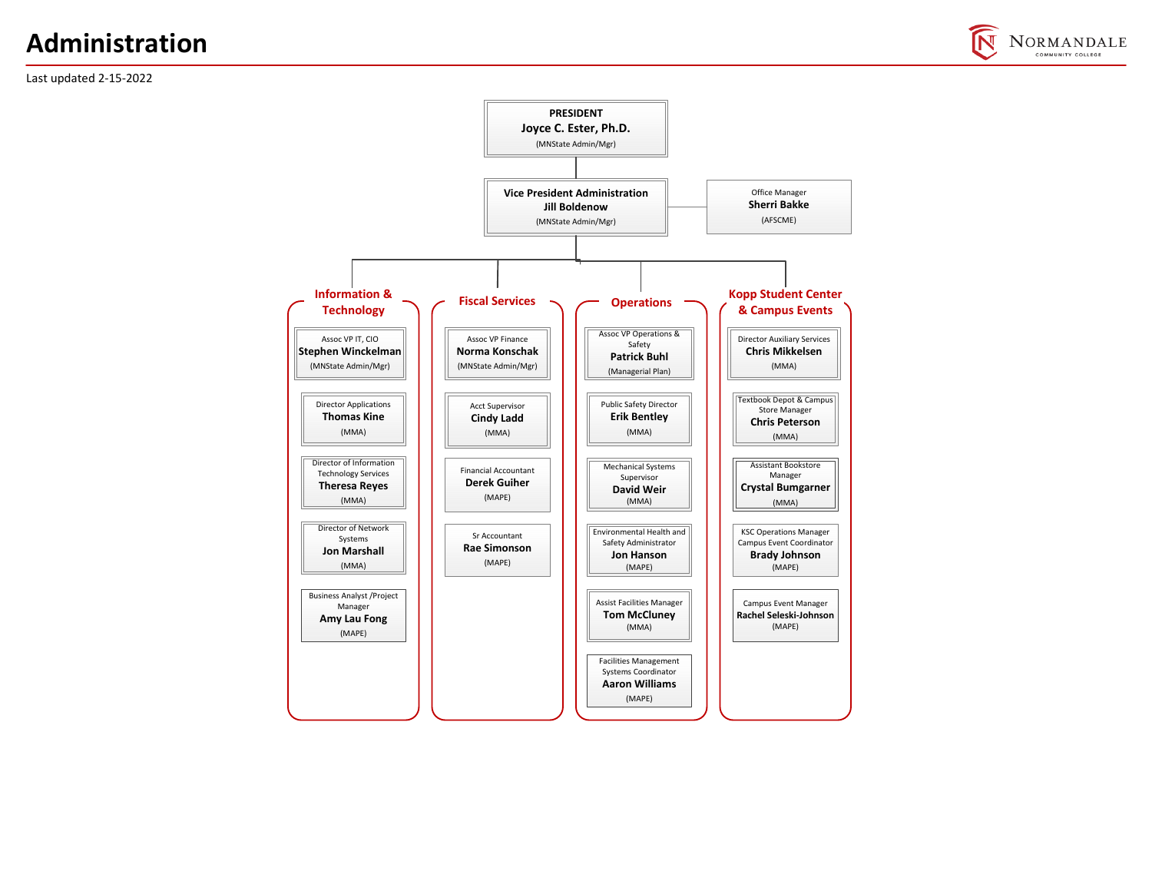# **Administration**





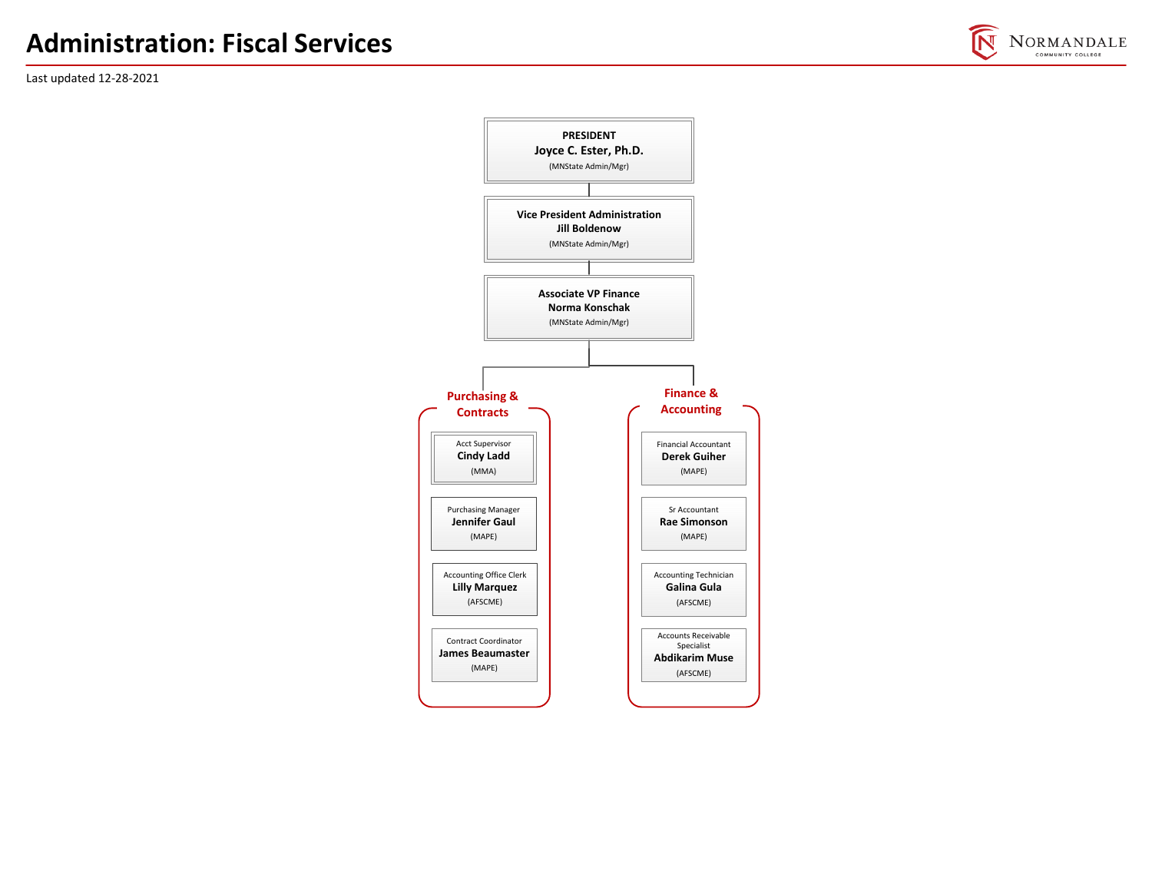

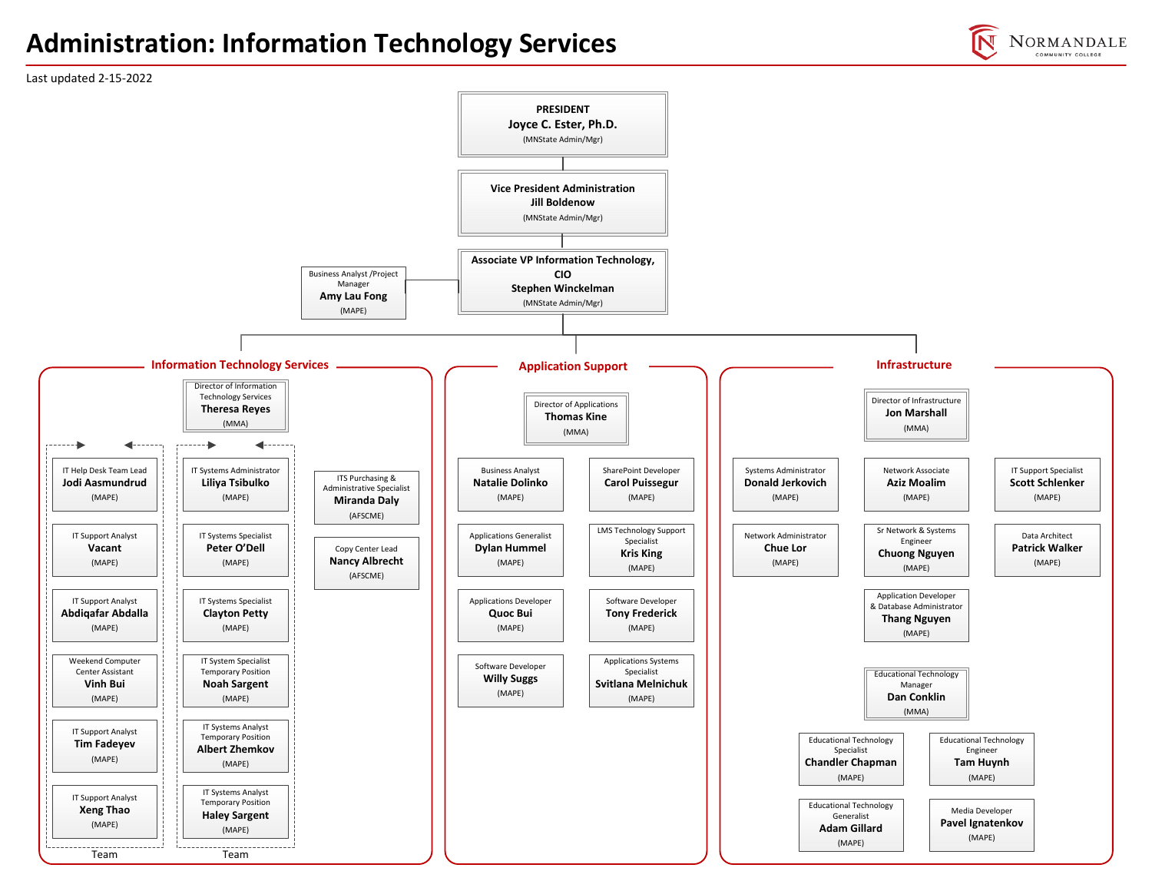#### **Administration: Information Technology Services**



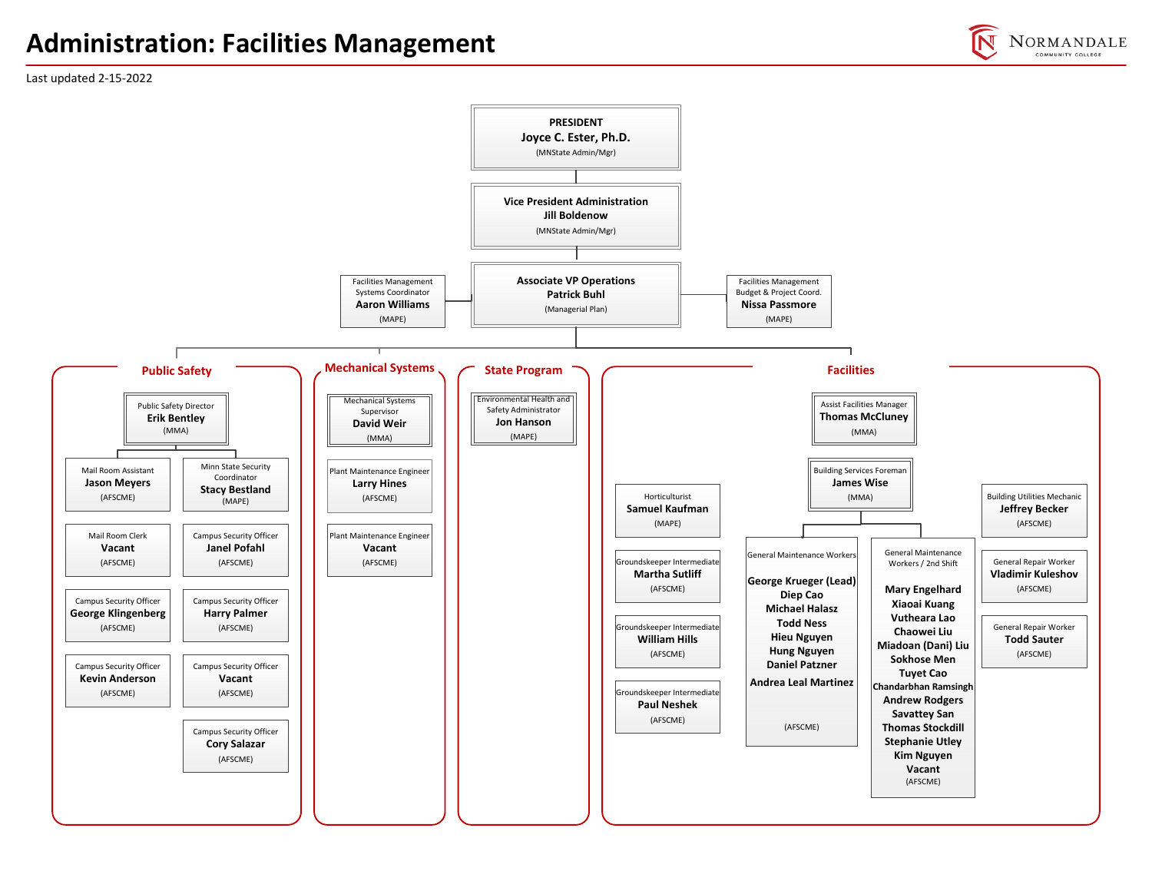#### **Administration: Facilities Management**

NORMANDALE COMMUNITY COLLEGE

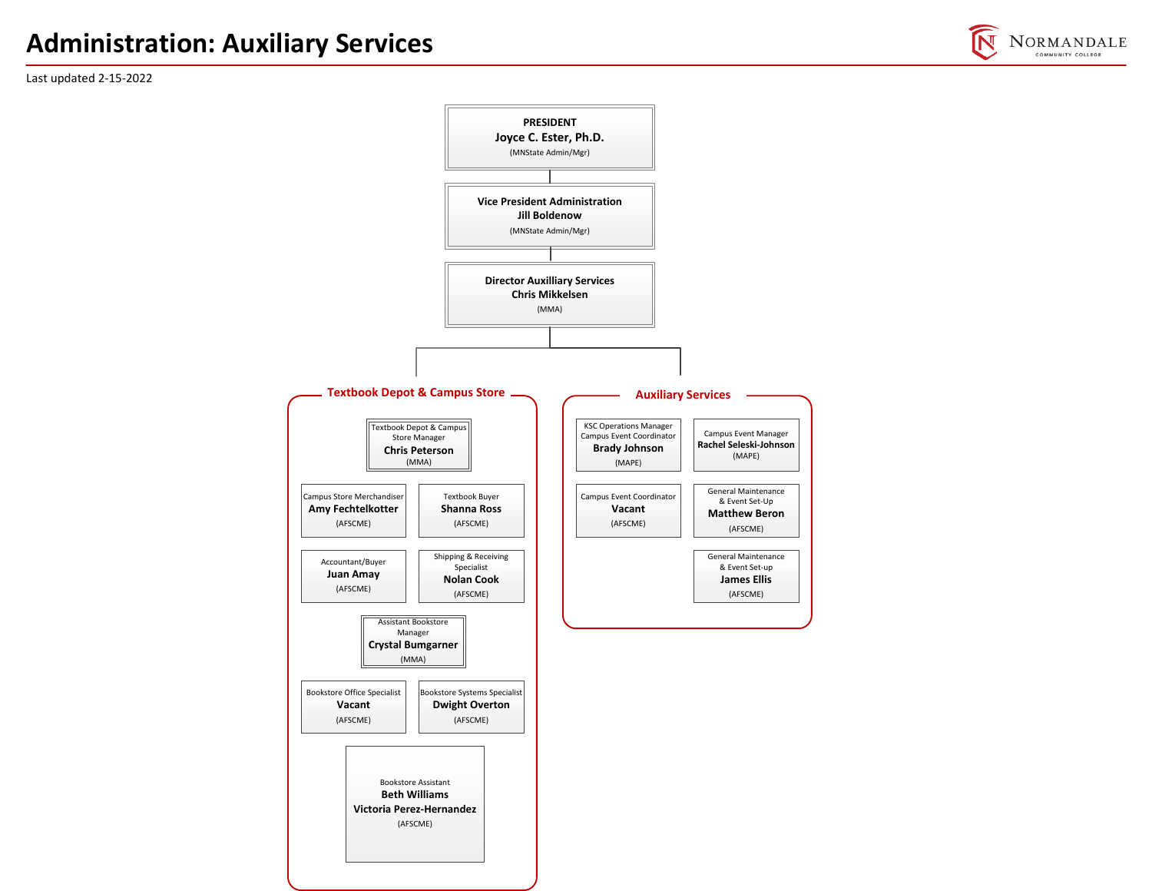